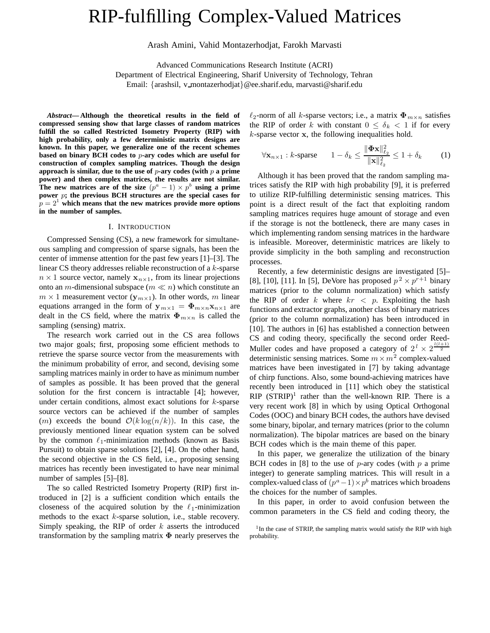# RIP-fulfilling Complex-Valued Matrices

Arash Amini, Vahid Montazerhodjat, Farokh Marvasti

Advanced Communications Research Institute (ACRI)

Department of Electrical Engineering, Sharif University of Technology, Tehran

Email: {arashsil, v montazerhodjat}@ee.sharif.edu, marvasti@sharif.edu

*Abstract***— Although the theoretical results in the field of compressed sensing show that large classes of random matrices fulfill the so called Restricted Isometry Property (RIP) with high probability, only a few deterministic matrix designs are known. In this paper, we generalize one of the recent schemes based on binary BCH codes to** *p***-ary codes which are useful for construction of complex sampling matrices. Though the design approach is similar, due to the use of** *p***-ary codes (with** *p* **a prime power) and then complex matrices, the results are not similar. The new matrices are of the size**  $(p^a - 1) \times p^b$  **using a prime power** *p***; the previous BCH structures are the special cases for**  $p = 2<sup>1</sup>$  which means that the new matrices provide more options **in the number of samples.**

#### I. INTRODUCTION

Compressed Sensing (CS), a new framework for simultaneous sampling and compression of sparse signals, has been the center of immense attention for the past few years [1]–[3]. The linear CS theory addresses reliable reconstruction of a k-sparse  $n \times 1$  source vector, namely  $\mathbf{x}_{n \times 1}$ , from its linear projections onto an *m*-dimensional subspace ( $m \ll n$ ) which constitute an  $m \times 1$  measurement vector  $(\mathbf{y}_{m \times 1})$ . In other words, m linear equations arranged in the form of  $y_{m \times 1} = \Phi_{m \times n} x_{n \times 1}$  are dealt in the CS field, where the matrix  $\Phi_{m \times n}$  is called the sampling (sensing) matrix.

The research work carried out in the CS area follows two major goals; first, proposing some efficient methods to retrieve the sparse source vector from the measurements with the minimum probability of error, and second, devising some sampling matrices mainly in order to have as minimum number of samples as possible. It has been proved that the general solution for the first concern is intractable [4]; however, under certain conditions, almost exact solutions for  $k$ -sparse source vectors can be achieved if the number of samples (*m*) exceeds the bound  $\mathcal{O}(k \log(n/k))$ . In this case, the previously mentioned linear equation system can be solved by the common  $\ell_1$ -minimization methods (known as Basis Pursuit) to obtain sparse solutions [2], [4]. On the other hand, the second objective in the CS field, i.e., proposing sensing matrices has recently been investigated to have near minimal number of samples [5]–[8].

The so called Restricted Isometry Property (RIP) first introduced in [2] is a sufficient condition which entails the closeness of the acquired solution by the  $\ell_1$ -minimization methods to the exact k-sparse solution, i.e., stable recovery. Simply speaking, the RIP of order  $k$  asserts the introduced transformation by the sampling matrix **Φ** nearly preserves the

 $\ell_2$ -norm of all k-sparse vectors; i.e., a matrix  $\Phi_{m \times n}$  satisfies the RIP of order k with constant  $0 \leq \delta_k < 1$  if for every k-sparse vector **x**, the following inequalities hold.

$$
\forall \mathbf{x}_{n\times 1} : k\text{-sparse} \qquad 1 - \delta_k \le \frac{\|\mathbf{\Phi}\mathbf{x}\|_{\ell_2}^2}{\|\mathbf{x}\|_{\ell_2}^2} \le 1 + \delta_k \tag{1}
$$

Although it has been proved that the random sampling matrices satisfy the RIP with high probability [9], it is preferred to utilize RIP-fulfilling deterministic sensing matrices. This point is a direct result of the fact that exploiting random sampling matrices requires huge amount of storage and even if the storage is not the bottleneck, there are many cases in which implementing random sensing matrices in the hardware is infeasible. Moreover, deterministic matrices are likely to provide simplicity in the both sampling and reconstruction processes.

Recently, a few deterministic designs are investigated [5]– [8], [10], [11]. In [5], DeVore has proposed  $p^2 \times p^{r+1}$  binary matrices (prior to the column normalization) which satisfy the RIP of order k where  $kr < p$ . Exploiting the hash functions and extractor graphs, another class of binary matrices (prior to the column normalization) has been introduced in [10]. The authors in [6] has established a connection between CS and coding theory, specifically the second order Reed-Muller codes and have proposed a category of  $2^l \times 2^{\frac{l(l+1)}{2}}$ <br>deterministic sensing matrices. Some  $m \times m^2$  complex-valued deterministic sensing matrices. Some  $m \times m^2$  complex-valued matrices have been investigated in [7] by taking advantage of chirp functions. Also, some bound-achieving matrices have recently been introduced in [11] which obey the statistical  $RIP$  (STRIP)<sup>1</sup> rather than the well-known RIP. There is a very recent work [8] in which by using Optical Orthogonal Codes (OOC) and binary BCH codes, the authors have devised some binary, bipolar, and ternary matrices (prior to the column normalization). The bipolar matrices are based on the binary BCH codes which is the main theme of this paper.

In this paper, we generalize the utilization of the binary BCH codes in [8] to the use of  $p$ -ary codes (with  $p$  a prime integer) to generate sampling matrices. This will result in a complex-valued class of  $(p^a-1)\times p^b$  matrices which broadens the choices for the number of samples.

In this paper, in order to avoid confusion between the common parameters in the CS field and coding theory, the

<sup>&</sup>lt;sup>1</sup>In the case of STRIP, the sampling matrix would satisfy the RIP with high probability.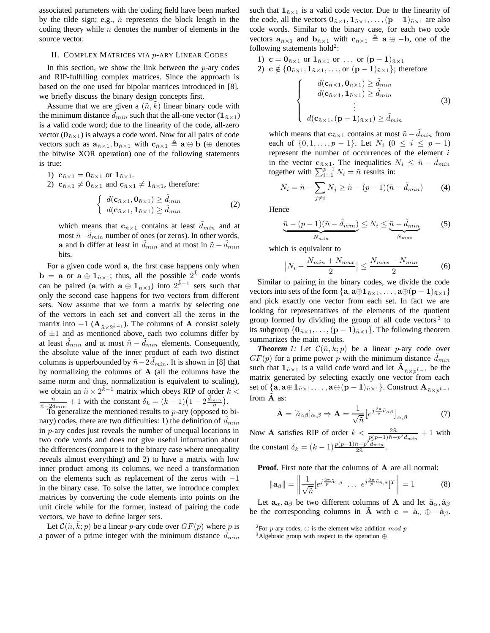associated parameters with the coding field have been marked by the tilde sign; e.g.,  $\tilde{n}$  represents the block length in the coding theory while  $n$  denotes the number of elements in the source vector.

#### II. COMPLEX MATRICES VIA p-ARY LINEAR CODES

In this section, we show the link between the  $p$ -ary codes and RIP-fulfilling complex matrices. Since the approach is based on the one used for bipolar matrices introduced in [8], we briefly discuss the binary design concepts first.

Assume that we are given a  $(\tilde{n}, k)$  linear binary code with<br>reminimum distance  $\tilde{d}$  is such that the all-one vector  $(1, \ldots)$ the minimum distance  $d_{min}$  such that the all-one vector  $(\mathbf{1}_{\tilde{n}\times 1})$ is a valid code word; due to the linearity of the code, all-zero vector  $(\mathbf{0}_{\tilde{n}\times1})$  is always a code word. Now for all pairs of code vectors such as  $\mathbf{a}_{\tilde{n} \times 1}$ ,  $\mathbf{b}_{\tilde{n} \times 1}$  with  $\mathbf{c}_{\tilde{n} \times 1} \triangleq \mathbf{a} \oplus \mathbf{b}$  ( $\oplus$  denotes the bitwise XOR operation) one of the following statements is true:

1)  $c_{\tilde{n} \times 1} = 0_{\tilde{n} \times 1}$  or  $1_{\tilde{n} \times 1}$ .

2)  $\mathbf{c}_{\tilde{n}\times1} \neq \mathbf{0}_{\tilde{n}\times1}$  and  $\mathbf{c}_{\tilde{n}\times1} \neq \mathbf{1}_{\tilde{n}\times1}$ , therefore:

$$
\begin{cases} d(\mathbf{c}_{\tilde{n}\times 1}, \mathbf{0}_{\tilde{n}\times 1}) \ge \tilde{d}_{min} \\ d(\mathbf{c}_{\tilde{n}\times 1}, \mathbf{1}_{\tilde{n}\times 1}) \ge \tilde{d}_{min} \end{cases}
$$
 (2)

which means that  $\mathbf{c}_{\tilde{n} \times 1}$  contains at least  $d_{min}$  and at most  $\tilde{n} - d_{min}$  number of ones (or zeros). In other words,<br>a and b differ at least in  $\tilde{d}$  , and at most in  $\tilde{p} - \tilde{d}$ **a** and **b** differ at least in  $d_{min}$  and at most in  $\tilde{n} - d_{min}$ bits.

For a given code word **a**, the first case happens only when **b** = **a** or  $\mathbf{a} \oplus \mathbf{1}_{n \times 1}$ ; thus, all the possible  $2^k$  code words can be paired (**a** with  $\mathbf{a} \oplus \mathbf{1}_{n \times 1}$ ) into  $2^{\tilde{k}-1}$  sets such that only the second case happens for two vectors from different sets. Now assume that we form a matrix by selecting one of the vectors in each set and convert all the zeros in the matrix into  $-1$  ( $\mathbf{A}_{\tilde{n}\times2^{\tilde{k}-1}}$ ). The columns of **A** consist solely of  $\pm 1$  and as mentioned above, each two columns differ by at least  $d_{min}$  and at most  $\tilde{n} - d_{min}$  elements. Consequently,<br>the absolute value of the inner product of each two distinct the absolute value of the inner product of each two distinct columns is upperbounded by  $\tilde{n} - 2d_{min}$ . It is shown in [8] that has normalizing the columns of  $\Lambda$  (all the columns have the by normalizing the columns of **A** (all the columns have the same norm and thus, normalization is equivalent to scaling), we obtain an  $\tilde{n} \times 2^{\tilde{k}-1}$  matrix which obeys RIP of order  $k < \frac{\tilde{n}}{2m} + 1$  with the constant  $\delta_1 = (k-1)(1-2\tilde{d}_{min})$  $\frac{\tilde{n}}{\tilde{n}-2\tilde{d}_{min}} + 1$  with the constant  $\delta_k = (k-1)(1-2\frac{\tilde{d}_{min}}{\tilde{n}})$ .<br>
To generalize the mentioned results to a say (opposed to

To generalize the mentioned results to  $p$ -ary (opposed to bimary) codes, there are two difficulties: 1) the definition of  $d_{min}$ in  $p$ -ary codes just reveals the number of unequal locations in two code words and does not give useful information about the differences (compare it to the binary case where unequality reveals almost everything) and 2) to have a matrix with low inner product among its columns, we need a transformation on the elements such as replacement of the zeros with <sup>−</sup>1 in the binary case. To solve the latter, we introduce complex matrices by converting the code elements into points on the unit circle while for the former, instead of pairing the code vectors, we have to define larger sets.

Let  $\mathcal{C}(\tilde{n}, k; p)$  be a linear p-ary code over  $GF(p)$  where p is<br>power of a prime integer with the minimum distance  $\tilde{d}$ . a power of a prime integer with the minimum distance  $d_{min}$  such that  $\mathbf{1}_{\tilde{n}\times 1}$  is a valid code vector. Due to the linearity of the code, all the vectors  $\mathbf{0}_{\tilde{n}\times 1}, \mathbf{1}_{\tilde{n}\times 1}, \ldots, (\mathbf{p}-\mathbf{1})_{\tilde{n}\times 1}$  are also code words. Similar to the binary case, for each two code vectors  $\mathbf{a}_{\tilde{n}\times1}$  and  $\mathbf{b}_{\tilde{n}\times1}$  with  $\mathbf{c}_{\tilde{n}\times1} \triangleq \mathbf{a} \oplus -\mathbf{b}$ , one of the following statements  $hold<sup>2</sup>$ :

1) 
$$
\mathbf{c} = \mathbf{0}_{\tilde{n} \times 1} \text{ or } \mathbf{1}_{\tilde{n} \times 1} \text{ or } \dots \text{ or } (\mathbf{p} - \mathbf{1})_{\tilde{n} \times 1}
$$
  
\n2) 
$$
\mathbf{c} \notin \{ \mathbf{0}_{\tilde{n} \times 1}, \mathbf{1}_{\tilde{n} \times 1}, \dots, \text{ or } (\mathbf{p} - \mathbf{1})_{\tilde{n} \times 1} \}; \text{ therefore}
$$
  
\n
$$
\begin{cases}\n d(\mathbf{c}_{\tilde{n} \times 1}, \mathbf{0}_{\tilde{n} \times 1}) \ge \tilde{d}_{min} \\
 d(\mathbf{c}_{\tilde{n} \times 1}, \mathbf{1}_{\tilde{n} \times 1}) \ge \tilde{d}_{min} \\
 \vdots \\
 d(\mathbf{c}_{\tilde{n} \times 1}, (\mathbf{p} - \mathbf{1})_{\tilde{n} \times 1}) \ge \tilde{d}_{min}\n\end{cases}
$$
\n(3)

which means that  $\mathbf{c}_{\tilde{n}\times 1}$  contains at most  $\tilde{n} - d_{min}$  from<br>each of  $f(0, 1, ..., n-1)$ . Let  $N: (0 \le i \le n-1)$ each of  $\{0, 1, ..., p-1\}$ . Let  $N_i$   $(0 \le i \le p-1)$ represent the number of occurrences of the element i in the vector **c**<sub> $\tilde{n}\times 1$ </sub>. The inequalities  $N_i \leq \tilde{n} - d_{min}$ <br>together with  $\sum_{i=1}^{p-1} N_i - \tilde{n}$  results in: together with  $\sum_{i=1}^{p-1} N_i = \tilde{n}$  results in:

$$
N_i = \tilde{n} - \sum_{j \neq i} N_j \geq \tilde{n} - (p - 1)(\tilde{n} - \tilde{d}_{min})
$$
 (4)

Hence

$$
\underbrace{\tilde{n} - (p-1)(\tilde{n} - \tilde{d}_{min})}_{N_{min}} \le N_i \le \underbrace{\tilde{n} - \tilde{d}_{min}}_{N_{max}} \tag{5}
$$

which is equivalent to

$$
|N_i - \frac{N_{min} + N_{max}}{2}| \le \frac{N_{max} - N_{min}}{2}
$$
 (6)  
Similar to pairing in the binary codes, we divide the code

vectors into sets of the form  $\{a, a \oplus 1_{n \times 1}, \ldots, a \oplus (p-1)_{n \times 1}\}$ and pick exactly one vector from each set. In fact we are looking for representatives of the elements of the quotient group formed by dividing the group of all code vectors<sup>3</sup> to its subgroup  $\{0_{\tilde{n}\times 1}, \ldots, (p-1)_{\tilde{n}\times 1}\}$ . The following theorem summarizes the main results.

**Theorem** 1: Let  $C(\tilde{n}, k; p)$  be a linear p-ary code over  $F(n)$  for a prime power n with the minimum distance  $\tilde{d}$ .  $GF(p)$  for a prime power p with the minimum distance  $d_{min}$ <br>such that  $1 \leq \mu$  is a valid code word and let  $\tilde{A}$ such that  $\mathbf{1}_{\tilde{n}\times 1}$  is a valid code word and let  $\mathbf{A}_{\tilde{n}\times p\tilde{k}-1}$  be the matrix generated by selecting exactly one vector from each set of  $\{a, a \oplus 1_{\tilde{n} \times 1}, \ldots, a \oplus (p-1)_{\tilde{n} \times 1}\}$ . Construct  $A_{\tilde{n} \times p^{\tilde{k}-1}}$ from  $\overline{A}$  as:

$$
\tilde{\mathbf{A}} = [\tilde{a}_{\alpha\beta}]_{\alpha,\beta} \Rightarrow \mathbf{A} = \frac{1}{\sqrt{\tilde{n}}} \left[ e^{j\frac{2\pi}{p} \tilde{a}_{\alpha\beta}} \right]_{\alpha,\beta} \tag{7}
$$

Now **A** satisfies RIP of order  $k < \frac{2\tilde{n}}{p(p-1)\tilde{n}-p^2\tilde{d}_{min}} + 1$  with the constant  $\delta_k = (k-1) \frac{p(p-1)\tilde{n}-p^2 \tilde{d}_{min}}{2\tilde{n}}$ .

**Proof**. First note that the columns of **A** are all normal:

$$
\|\mathbf{a}_{\beta}\| = \left\| \frac{1}{\sqrt{\tilde{n}}} \left[ e^{j\frac{2\pi}{p}\tilde{a}_{1,\beta}} \dots e^{j\frac{2\pi}{p}\tilde{a}_{\tilde{n},\beta}} \right]^T \right\| = 1
$$
 (8)

Let  $\mathbf{a}_{\alpha}$ ,  $\mathbf{a}_{\beta}$  be two different columns of **A** and let  $\tilde{\mathbf{a}}_{\alpha}$ ,  $\tilde{\mathbf{a}}_{\beta}$  the corresponding columns in  $\tilde{\mathbf{A}}$  with  $\mathbf{c} = \tilde{\mathbf{s}}_{\alpha} \oplus \tilde{\mathbf{s}}_{\alpha}$ be the corresponding columns in **A** with  $c = \tilde{a}_{\alpha} \oplus -\tilde{a}_{\beta}$ .

<sup>&</sup>lt;sup>2</sup>For *p*-ary codes, ⊕ is the element-wise addition *mod p*  $\frac{3}{3}$ Algebraic group with respect to the operation ⊕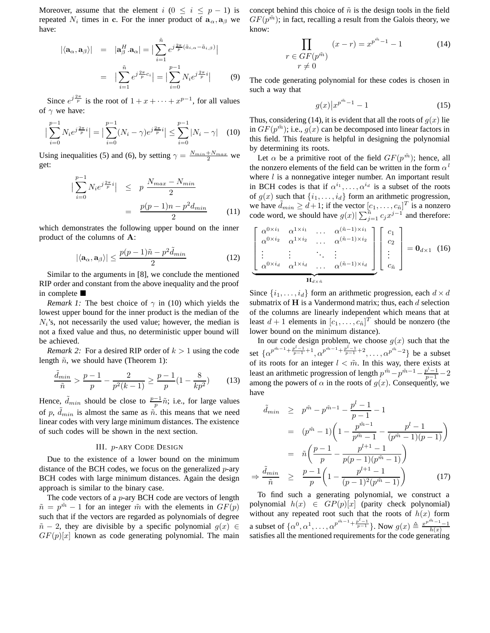Moreover, assume that the element i ( $0 \le i \le p - 1$ ) is repeated  $N_i$  times in **c**. For the inner product of  $\mathbf{a}_{\alpha}, \mathbf{a}_{\beta}$  we have:

$$
|\langle \mathbf{a}_{\alpha}, \mathbf{a}_{\beta} \rangle| = |\mathbf{a}_{\beta}^{H} \cdot \mathbf{a}_{\alpha}| = \Big| \sum_{i=1}^{\tilde{n}} e^{j \frac{2\pi}{p} (\tilde{a}_{i,\alpha} - \tilde{a}_{i,\beta})} \Big|
$$

$$
= |\sum_{i=1}^{\tilde{n}} e^{j \frac{2\pi}{p} c_i} | = |\sum_{i=0}^{p-1} N_i e^{j \frac{2\pi}{p} i} | \qquad (9)
$$

Since  $e^{j\frac{2\pi}{p}}$  is the root of  $1 + x + \cdots + x^{p-1}$ , for all values  $\sim$  we have: of  $\gamma$  we have:

$$
\left| \sum_{i=0}^{p-1} N_i e^{j \frac{2\pi}{p} i} \right| = \left| \sum_{i=0}^{p-1} (N_i - \gamma) e^{j \frac{2\pi}{p} i} \right| \le \sum_{i=0}^{p-1} |N_i - \gamma| \quad (10)
$$

Using inequalities (5) and (6), by setting  $\gamma = \frac{N_{min} + N_{max}}{2}$  we get:

$$
\left|\sum_{i=0}^{p-1} N_i e^{j\frac{2\pi}{p}i}\right| \leq p \frac{N_{max} - N_{min}}{2}
$$

$$
= \frac{p(p-1)n - p^2 d_{min}}{2} \qquad (11)
$$
which demonstrates the following upper bound on the inner

product of the columns of **A**:

$$
|\langle \mathbf{a}_{\alpha}, \mathbf{a}_{\beta} \rangle| \le \frac{p(p-1)\tilde{n} - p^2 \tilde{d}_{min}}{2}
$$
 (12)  
Similar to the arguments in [8], we conclude the mentioned

RIP order and constant from the above inequality and the proof in complete

*Remark 1:* The best choice of  $\gamma$  in (10) which yields the lowest upper bound for the inner product is the median of the  $N_i$ 's, not necessarily the used value; however, the median is not a fixed value and thus, no deterministic upper bound will be achieved.

*Remark 2:* For a desired RIP order of  $k > 1$  using the code length  $\tilde{n}$ , we should have (Theorem 1):

$$
\frac{\tilde{d}_{min}}{\tilde{n}} > \frac{p-1}{p} - \frac{2}{p^2(k-1)} \ge \frac{p-1}{p} \left(1 - \frac{8}{kp^2}\right) \tag{13}
$$

Hence,  $\tilde{d}_{min}$  should be close to  $\frac{p-1}{p}\tilde{n}$ ; i.e., for large values of p,  $d_{min}$  is almost the same as  $\tilde{n}$ , this means that we need<br>linear codes with very large minimum distances. The existence linear codes with very large minimum distances. The existence of such codes will be shown in the next section.

### III. p-ARY CODE DESIGN

Due to the existence of a lower bound on the minimum distance of the BCH codes, we focus on the generalized  $p$ -ary BCH codes with large minimum distances. Again the design approach is similar to the binary case.

The code vectors of a  $p$ -ary BCH code are vectors of length  $\tilde{n} = p^{\tilde{m}} - 1$  for an integer  $\tilde{m}$  with the elements in  $GF(p)$ such that if the vectors are regarded as polynomials of degree  $\tilde{n}$  − 2, they are divisible by a specific polynomial  $g(x) \in$  $GF(p)[x]$  known as code generating polynomial. The main

concept behind this choice of  $\tilde{n}$  is the design tools in the field  $GF(p^{\tilde{m}})$ ; in fact, recalling a result from the Galois theory, we know:

$$
\prod_{\begin{array}{c} r \in GF(p^{\tilde{m}}) \\ r \neq 0 \end{array}} (x - r) = x^{p^{\tilde{m}} - 1} - 1 \tag{14}
$$

The code generating polynomial for these codes is chosen in such a way that

$$
g(x)|x^{p^{\tilde{m}}-1}-1
$$
 (15)

Thus, considering (14), it is evident that all the roots of  $q(x)$  lie in  $GF(p^{\tilde{m}})$ ; i.e.,  $g(x)$  can be decomposed into linear factors in this field. This feature is helpful in designing the polynomial by determining its roots.

Let  $\alpha$  be a primitive root of the field  $GF(p^m)$ ; hence, all the nonzero elements of the field can be written in the form  $\alpha^{l}$ where  $l$  is a nonnegative integer number. An important result in BCH codes is that if  $\alpha^{i_1}, \ldots, \alpha^{i_d}$  is a subset of the roots of  $g(x)$  such that  $\{i_1, \ldots, i_d\}$  form an arithmetic progression, we have  $\tilde{d}_{min} \geq d+1$ ; if the vector  $[c_1, \ldots, c_n]^T$  is a nonzero code word, we should have  $g(x) \sum_{i=1}^{n} c_i x^{j-1}$  and therefore: code word, we should have  $g(x)$   $\sum_{j=1}^{n} c_j x^{j-1}$  and therefore:

$$
\begin{bmatrix}\n\alpha^{0\times i_1} & \alpha^{1\times i_1} & \cdots & \alpha^{(\tilde{n}-1)\times i_1} \\
\alpha^{0\times i_2} & \alpha^{1\times i_2} & \cdots & \alpha^{(\tilde{n}-1)\times i_2} \\
\vdots & \vdots & \ddots & \vdots \\
\alpha^{0\times i_d} & \alpha^{1\times i_d} & \cdots & \alpha^{(\tilde{n}-1)\times i_d}\n\end{bmatrix}\n\begin{bmatrix}\nc_1 \\
c_2 \\
\vdots \\
c_{\tilde{n}}\n\end{bmatrix} = \mathbf{0}_{d\times 1} \quad (16)
$$

Since  $\{i_1,\ldots,i_d\}$  form an arithmetic progression, each  $d \times d$ submatrix of  $H$  is a Vandermond matrix; thus, each  $d$  selection of the columns are linearly independent which means that at least  $d + 1$  elements in  $[c_1, \ldots, c_{\tilde{n}}]^T$  should be nonzero (the lower bound on the minimum distance) lower bound on the minimum distance).

In our code design problem, we choose  $g(x)$  such that the set  $\{\alpha^{p^{\tilde{m}-1}+\frac{p^l-1}{p-1}+1}, \alpha^{p^{\tilde{m}-1}+\frac{p^l-1}{p-1}+2}, \ldots, \alpha^{p^{\tilde{m}}-2}\}\)$  be a subset of its roots for an integer  $l < \tilde{m}$ . In this way, there exists at least an arithmetic progression of length  $p^{\tilde{m}} - p^{\tilde{m}-1} - p^{\tilde{r}-1} - 2$ <br>p=pong the powers of  $\alpha$  in the roots of  $a(x)$ . Consequently, we among the powers of  $\alpha$  in the roots of  $g(x)$ . Consequently, we have

$$
\tilde{d}_{min} \geq p^{\tilde{m}} - p^{\tilde{m}-1} - \frac{p^{l} - 1}{p - 1} - 1
$$
\n
$$
= (p^{\tilde{m}} - 1) \left( 1 - \frac{p^{\tilde{m}-1}}{p^{\tilde{m}} - 1} - \frac{p^{l} - 1}{(p^{\tilde{m}} - 1)(p - 1)} \right)
$$
\n
$$
= \tilde{n} \left( \frac{p - 1}{p} - \frac{p^{l+1} - 1}{p(p - 1)(p^{\tilde{m}} - 1)} \right)
$$
\n
$$
\Rightarrow \frac{\tilde{d}_{min}}{\tilde{n}} \geq \frac{p - 1}{p} \left( 1 - \frac{p^{l+1} - 1}{(p - 1)^2 (p^{\tilde{m}} - 1)} \right) \tag{17}
$$

To find such a generating polynomial, we construct a polynomial  $h(x) \in GP(p)[x]$  (parity check polynomial) without any repeated root such that the roots of  $h(x)$  form without any repeated root such that the roots of  $h(x)$  form a subset of  $\{\alpha^0, \alpha^1, \ldots, \alpha^{p^{\tilde{m}-1} + \frac{p^l-1}{p-1}}\}$ . Now  $g(x) \triangleq \frac{x^{p^{\tilde{m}}-1}-1}{h(x)}$ satisfies all the mentioned requirements for the code generating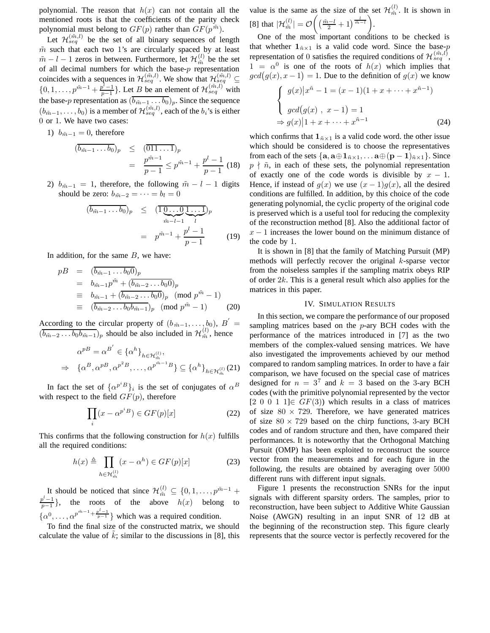polynomial. The reason that  $h(x)$  can not contain all the mentioned roots is that the coefficients of the parity check polynomial must belong to  $GF(p)$  rather than  $GF(p^m)$ .

Let  $\mathcal{H}_{seq}^{(\tilde{m},l)}$  be the set of all binary sequences of length  $\tilde{m}$  such that each two 1's are circularly spaced by at least  $\tilde{m} - l - 1$  zeros in between. Furthermore, let  $\mathcal{H}_{\tilde{m}}^{(l)}$  be the set<br>of all decimal numbers for which the base-n representation of all decimal numbers for which the base- $p$  representation coincides with a sequences in  $\mathcal{H}_{seq}^{(\tilde{m},l)}$ . We show that  $\mathcal{H}_{seq}^{(\tilde{m},l)}$  $\{0, 1, \ldots, p^{\tilde{m}-1} + \frac{p^1-1}{p-1}\}.$  Let B be an element of  $\mathcal{H}_{seq}^{(\tilde{m},l)}$  with the base-p representation as  $(\overline{b_{\tilde{m}-1} \dots b_0})_p$ . Since the sequence (b<sub>m<sup> $-1$ </sup>,...,b<sub>0</sub>) is a member of  $\mathcal{H}_{seq}^{(m,l)}$ , each of the b<sub>i</sub>'s is either</sub> 0 or 1. We have two cases:

1)  $b_{\tilde{m}-1} = 0$ , therefore

$$
(\overline{b_{\tilde{m}-1} \dots b_0})_p \leq (\overline{011 \dots 1})_p
$$
  
= 
$$
\frac{p^{\tilde{m}-1}}{p-1} \leq p^{\tilde{m}-1} + \frac{p^l - 1}{p-1}
$$
 (18)

2)  $b_{\tilde{m}-1} = 1$ , therefore, the following  $\tilde{m} - l - 1$  digits should be zero:  $b_{\tilde{m}-2} = \cdots = b_l = 0$ 

$$
(\overline{b_{\tilde{m}-1} \dots b_0})_p \leq (\overline{1 \underbrace{0 \dots 0}_{\tilde{m}-l-1} \underbrace{1 \dots 1}_{l})_p}
$$
  
=  $p^{\tilde{m}-1} + \frac{p^l - 1}{p - 1}$  (19)

In addition, for the same  $B$ , we have:

$$
pB = (\overline{b_{\tilde{m}-1} \dots b_0 0})_p
$$
  
=  $b_{\tilde{m}-1} p^{\tilde{m}} + (\overline{b_{\tilde{m}-2} \dots b_0 0})_p$   
=  $b_{\tilde{m}-1} + (\overline{b_{\tilde{m}-2} \dots b_0 0})_p \pmod{p^{\tilde{m}} - 1}$   
=  $(\overline{b_{\tilde{m}-2} \dots b_0 b_{\tilde{m}-1}})_p \pmod{p^{\tilde{m}} - 1}$  (20)

According to the circular property of  $(b_{\tilde{m}-1},...,b_0), B' = (b_{\tilde{m}-2}...b_0b_{\tilde{m}-1})_p$  should be also included in  $\mathcal{H}_{\tilde{m}}^{(l)}$ , hence

$$
\alpha^{p} = \alpha^{B'} \in {\{\alpha^h\}}_{h \in \mathcal{H}_m^{(l)}},
$$
  
\n
$$
\Rightarrow {\{\alpha^B, \alpha^{p} = \alpha^{p^2 B}, \dots, \alpha^{p^{\tilde{m}-1}B}\}} \subseteq {\{\alpha^h\}}_{h \in \mathcal{H}_m^{(l)}}(21)
$$

In fact the set of  $\{\alpha^{p^i}B\}_i$  is the set of conjugates of  $\alpha^B$ with respect to the field  $GF(p)$ , therefore

$$
\prod_{i}(x - \alpha^{p^{i}B}) \in GF(p)[x]
$$
 (22)

This confirms that the following construction for  $h(x)$  fulfills all the required conditions:

$$
h(x) \triangleq \prod_{h \in \mathcal{H}_{\tilde{m}}^{(l)}} (x - \alpha^h) \in GF(p)[x] \tag{23}
$$

It should be noticed that since  $\mathcal{H}_{\tilde{m}}^{(l)} \subseteq \{0, 1, \ldots, p^{\tilde{m}-1} + p^l - 1\}$  $\frac{p^t-1}{p-1}$ , the roots of the above  $h(x)$  belong to  $\{\alpha^0, \ldots, \alpha^{p^{\tilde{m}-1} + \frac{p^l-1}{p-1}}\}$  which was a required condition.

To find the final size of the constructed matrix, we should calculate the value of  $k$ ; similar to the discussions in [8], this value is the same as the size of the set  $\mathcal{H}_{\tilde{m}}^{(l)}$ . It is shown in [8] that  $|\mathcal{H}_{\tilde{m}}^{(l)}| = \mathcal{O}\left(\left(\frac{\tilde{m}-l}{2}+1\right)^{\frac{l}{\tilde{m}-l}}\right)$ .

One of the most important conditions to be checked is that whether  $\mathbf{1}_{\tilde{n}\times 1}$  is a valid code word. Since the base-p representation of 0 satisfies the required conditions of  $\mathcal{H}_{seq}^{(\tilde{m},l)}$  $1 = \alpha^0$  is one of the roots of  $h(x)$  which implies that  $gcd(g(x), x-1) = 1$ . Due to the definition of  $g(x)$  we know

$$
\begin{cases}\ng(x)|x^{\tilde{n}} - 1 = (x - 1)(1 + x + \dots + x^{\tilde{n}-1}) \\
\gcd(g(x), x - 1) = 1 \\
\Rightarrow g(x)|1 + x + \dots + x^{\tilde{n}-1} \tag{24}\n\end{cases}
$$

which confirms that  $\mathbf{1}_{\tilde{n}\times 1}$  is a valid code word. the other issue which should be considered is to choose the representatives from each of the sets  $\{a, a \oplus 1_{\tilde{n} \times 1}, \ldots a \oplus (p-1)_{\tilde{n} \times 1}\}$ . Since  $p \nmid \tilde{n}$ , in each of these sets, the polynomial representation<br>of exactly one of the code words is divisible by  $x-1$ of exactly one of the code words is divisible by  $x - 1$ . Hence, if instead of  $g(x)$  we use  $(x - 1)g(x)$ , all the desired conditions are fulfilled. In addition, by this choice of the code generating polynomial, the cyclic property of the original code is preserved which is a useful tool for reducing the complexity of the reconstruction method [8]. Also the additional factor of  $x - 1$  increases the lower bound on the minimum distance of the code by 1.

It is shown in [8] that the family of Matching Pursuit (MP) methods will perfectly recover the original  $k$ -sparse vector from the noiseless samples if the sampling matrix obeys RIP of order  $2k$ . This is a general result which also applies for the matrices in this paper.

## IV. SIMULATION RESULTS

In this section, we compare the performance of our proposed sampling matrices based on the  $p$ -ary BCH codes with the performance of the matrices introduced in [7] as the two members of the complex-valued sensing matrices. We have also investigated the improvements achieved by our method compared to random sampling matrices. In order to have a fair comparison, we have focused on the special case of matrices designed for  $n = 3^7$  and  $k = 3$  based on the 3-ary BCH codes (with the primitive polynomial represented by the vector  $[2\ 0\ 0\ 1\ 1] \in GF(3)$ ) which results in a class of matrices of size  $80 \times 729$ . Therefore, we have generated matrices of size  $80 \times 729$  based on the chirp functions, 3-ary BCH codes and of random structure and then, have compared their performances. It is noteworthy that the Orthogonal Matching Pursuit (OMP) has been exploited to reconstruct the source vector from the measurements and for each figure in the following, the results are obtained by averaging over 5000 different runs with different input signals.

Figure 1 presents the reconstruction SNRs for the input signals with different sparsity orders. The samples, prior to reconstruction, have been subject to Additive White Gaussian Noise (AWGN) resulting in an input SNR of 12 dB at the beginning of the reconstruction step. This figure clearly represents that the source vector is perfectly recovered for the